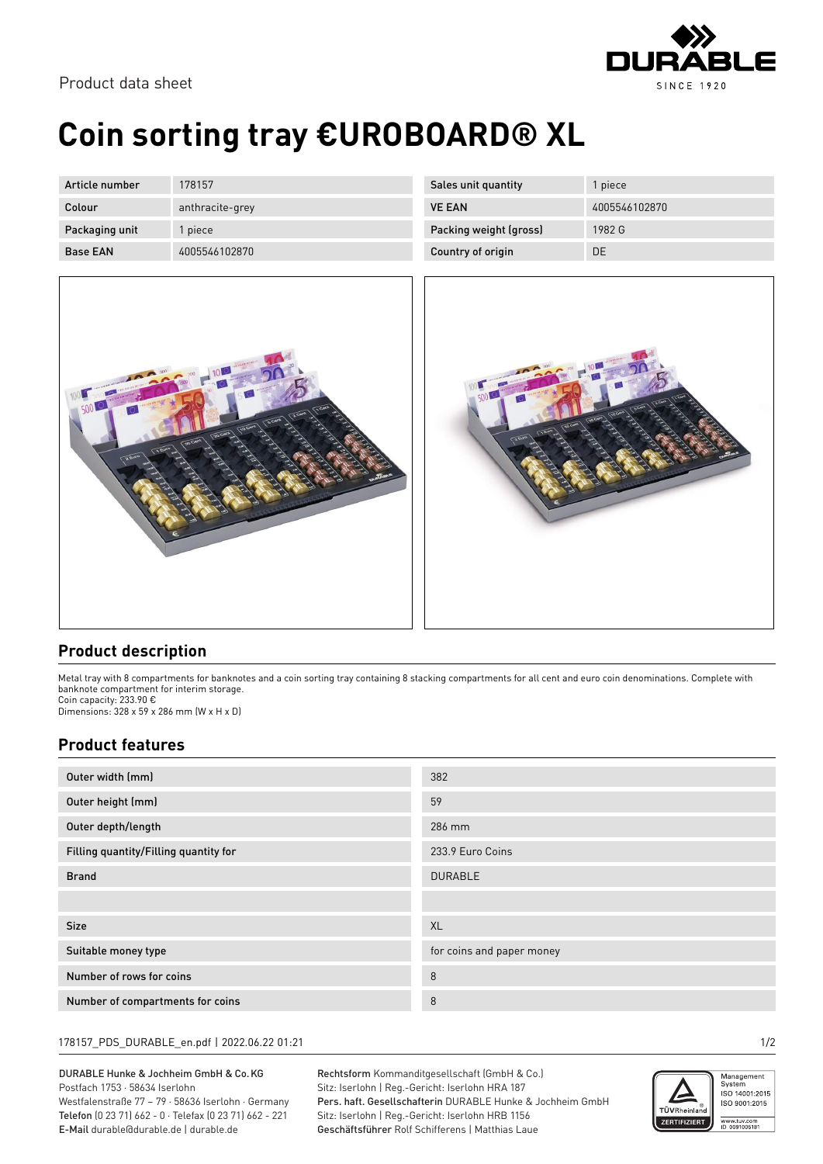

Product data sheet

# **Coin sorting tray €UROBOARD® XL**

| Article number  | 178157          |
|-----------------|-----------------|
| Colour          | anthracite-grey |
| Packaging unit  | 1 piece         |
| <b>Base FAN</b> | 4005546102870   |

| Sales unit quantity    | 1 piece       |
|------------------------|---------------|
| <b>VE FAN</b>          | 4005546102870 |
| Packing weight (gross) | 1982 G        |
| Country of origin      | DΕ            |





### **Product description**

Metal tray with 8 compartments for banknotes and a coin sorting tray containing 8 stacking compartments for all cent and euro coin denominations. Complete with banknote compartment for interim storage.

Coin capacity: 233.90 € Dimensions: 328 x 59 x 286 mm (W x H x D)

#### **Product features**

| Outer width (mm)                      | 382                       |
|---------------------------------------|---------------------------|
| Outer height (mm)                     | 59                        |
| Outer depth/length                    | 286 mm                    |
| Filling quantity/Filling quantity for | 233.9 Euro Coins          |
| <b>Brand</b>                          | <b>DURABLE</b>            |
|                                       |                           |
| <b>Size</b>                           | XL                        |
| Suitable money type                   | for coins and paper money |
| Number of rows for coins              | 8                         |
| Number of compartments for coins      | 8                         |

#### 178157\_PDS\_DURABLE\_en.pdf | 2022.06.22 01:21 1/2

DURABLE Hunke & Jochheim GmbH & Co.KG Postfach 1753 · 58634 Iserlohn Westfalenstraße 77 – 79 · 58636 Iserlohn · Germany Telefon (0 23 71) 662 - 0 · Telefax (0 23 71) 662 - 221 E-Mail durable@durable.de | durable.de

Rechtsform Kommanditgesellschaft (GmbH & Co.) Sitz: Iserlohn | Reg.-Gericht: Iserlohn HRA 187 Pers. haft. Gesellschafterin DURABLE Hunke & Jochheim GmbH Sitz: Iserlohn | Reg.-Gericht: Iserlohn HRB 1156 Geschäftsführer Rolf Schifferens | Matthias Laue